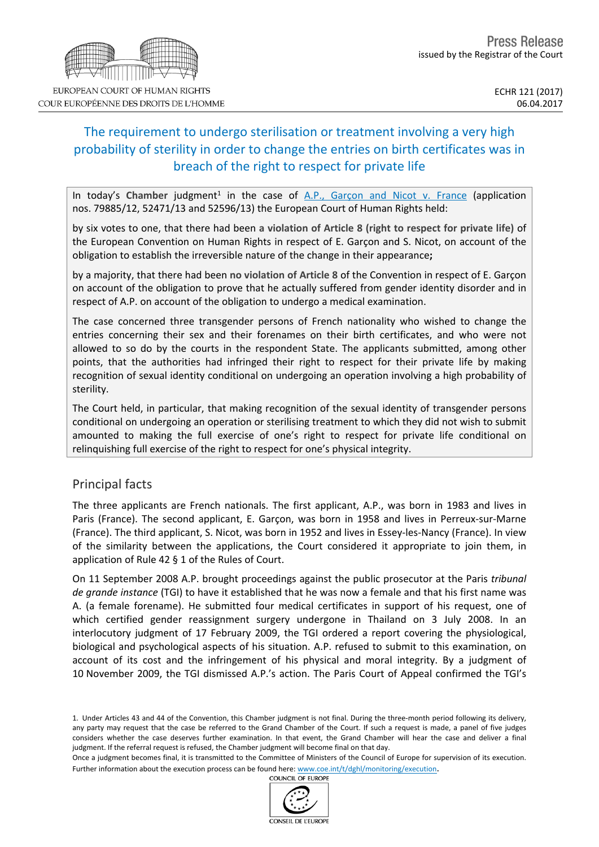

COUR EUROPÉENNE DES DROITS DE L'HOMME

# The requirement to undergo sterilisation or treatment involving a very high probability of sterility in order to change the entries on birth certificates was in breach of the right to respect for private life

In today's Chamber judgment<sup>1</sup> in the case of A.P., [Garçon](http://hudoc.echr.coe.int/eng?i=001-172556) and Nicot v. France (application nos. 79885/12, 52471/13 and 52596/13) the European Court of Human Rights held:

by six votes to one, that there had been **a violation of Article 8 (right to respect for private life)** of the European Convention on Human Rights in respect of E. Garçon and S. Nicot, on account of the obligation to establish the irreversible nature of the change in their appearance**;**

by a majority, that there had been **no violation of Article 8** of the Convention in respect of E. Garçon on account of the obligation to prove that he actually suffered from gender identity disorder and in respect of A.P. on account of the obligation to undergo a medical examination.

The case concerned three transgender persons of French nationality who wished to change the entries concerning their sex and their forenames on their birth certificates, and who were not allowed to so do by the courts in the respondent State. The applicants submitted, among other points, that the authorities had infringed their right to respect for their private life by making recognition of sexual identity conditional on undergoing an operation involving a high probability of sterility.

The Court held, in particular, that making recognition of the sexual identity of transgender persons conditional on undergoing an operation or sterilising treatment to which they did not wish to submit amounted to making the full exercise of one's right to respect for private life conditional on relinquishing full exercise of the right to respect for one's physical integrity.

## Principal facts

The three applicants are French nationals. The first applicant, A.P., was born in 1983 and lives in Paris (France). The second applicant, E. Garçon, was born in 1958 and lives in Perreux-sur-Marne (France). The third applicant, S. Nicot, was born in 1952 and lives in Essey-les-Nancy (France). In view of the similarity between the applications, the Court considered it appropriate to join them, in application of Rule 42 § 1 of the Rules of Court.

On 11 September 2008 A.P. brought proceedings against the public prosecutor at the Paris *tribunal de grande instance* (TGI) to have it established that he was now a female and that his first name was A. (a female forename). He submitted four medical certificates in support of his request, one of which certified gender reassignment surgery undergone in Thailand on 3 July 2008. In an interlocutory judgment of 17 February 2009, the TGI ordered a report covering the physiological, biological and psychological aspects of his situation. A.P. refused to submit to this examination, on account of its cost and the infringement of his physical and moral integrity. By a judgment of 10 November 2009, the TGI dismissed A.P.'s action. The Paris Court of Appeal confirmed the TGI's



<sup>1.</sup> Under Articles 43 and 44 of the Convention, this Chamber judgment is not final. During the three-month period following its delivery, any party may request that the case be referred to the Grand Chamber of the Court. If such a request is made, a panel of five judges considers whether the case deserves further examination. In that event, the Grand Chamber will hear the case and deliver a final judgment. If the referral request is refused, the Chamber judgment will become final on that day.

Once a judgment becomes final, it is transmitted to the Committee of Ministers of the Council of Europe for supervision of its execution. Further information about the execution process can be found here: [www.coe.int/t/dghl/monitoring/execution](http://www.coe.int/t/dghl/monitoring/execution).<br>COUNCIL OF EUROPE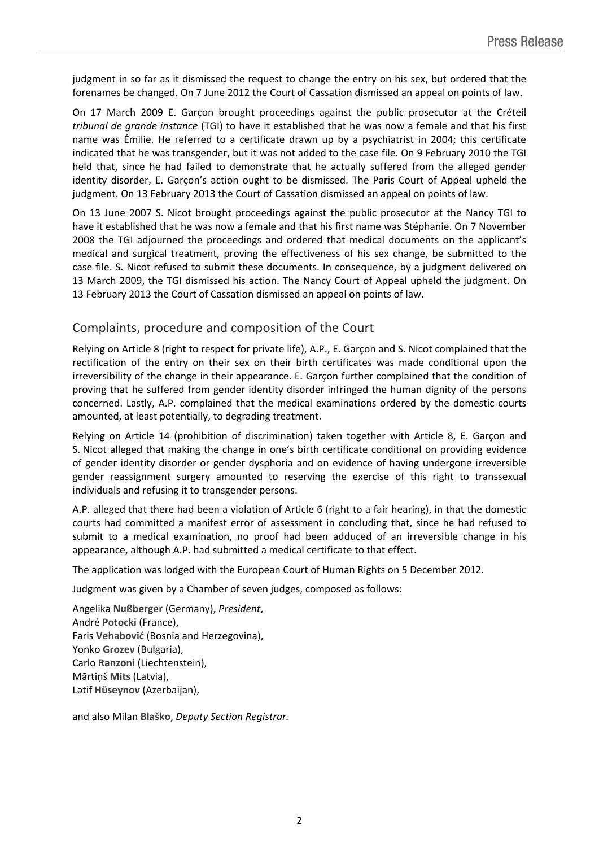judgment in so far as it dismissed the request to change the entry on his sex, but ordered that the forenames be changed. On 7 June 2012 the Court of Cassation dismissed an appeal on points of law.

On 17 March 2009 E. Garçon brought proceedings against the public prosecutor at the Créteil *tribunal de grande instance* (TGI) to have it established that he was now a female and that his first name was Émilie. He referred to a certificate drawn up by a psychiatrist in 2004; this certificate indicated that he was transgender, but it was not added to the case file. On 9 February 2010 the TGI held that, since he had failed to demonstrate that he actually suffered from the alleged gender identity disorder, E. Garçon's action ought to be dismissed. The Paris Court of Appeal upheld the judgment. On 13 February 2013 the Court of Cassation dismissed an appeal on points of law.

On 13 June 2007 S. Nicot brought proceedings against the public prosecutor at the Nancy TGI to have it established that he was now a female and that his first name was Stéphanie. On 7 November 2008 the TGI adjourned the proceedings and ordered that medical documents on the applicant's medical and surgical treatment, proving the effectiveness of his sex change, be submitted to the case file. S. Nicot refused to submit these documents. In consequence, by a judgment delivered on 13 March 2009, the TGI dismissed his action. The Nancy Court of Appeal upheld the judgment. On 13 February 2013 the Court of Cassation dismissed an appeal on points of law.

### Complaints, procedure and composition of the Court

Relying on Article 8 (right to respect for private life), A.P., E. Garçon and S. Nicot complained that the rectification of the entry on their sex on their birth certificates was made conditional upon the irreversibility of the change in their appearance. E. Garçon further complained that the condition of proving that he suffered from gender identity disorder infringed the human dignity of the persons concerned. Lastly, A.P. complained that the medical examinations ordered by the domestic courts amounted, at least potentially, to degrading treatment.

Relying on Article 14 (prohibition of discrimination) taken together with Article 8, E. Garçon and S. Nicot alleged that making the change in one's birth certificate conditional on providing evidence of gender identity disorder or gender dysphoria and on evidence of having undergone irreversible gender reassignment surgery amounted to reserving the exercise of this right to transsexual individuals and refusing it to transgender persons.

A.P. alleged that there had been a violation of Article 6 (right to a fair hearing), in that the domestic courts had committed a manifest error of assessment in concluding that, since he had refused to submit to a medical examination, no proof had been adduced of an irreversible change in his appearance, although A.P. had submitted a medical certificate to that effect.

The application was lodged with the European Court of Human Rights on 5 December 2012.

Judgment was given by a Chamber of seven judges, composed as follows:

Angelika **Nußberger** (Germany), *President*, André **Potocki** (France), Faris **Vehabović** (Bosnia and Herzegovina), Yonko **Grozev** (Bulgaria), Carlo **Ranzoni** (Liechtenstein), Mārtiņš **Mits** (Latvia), Lәtif **Hüseynov** (Azerbaijan),

and also Milan **Blaško**, *Deputy Section Registrar.*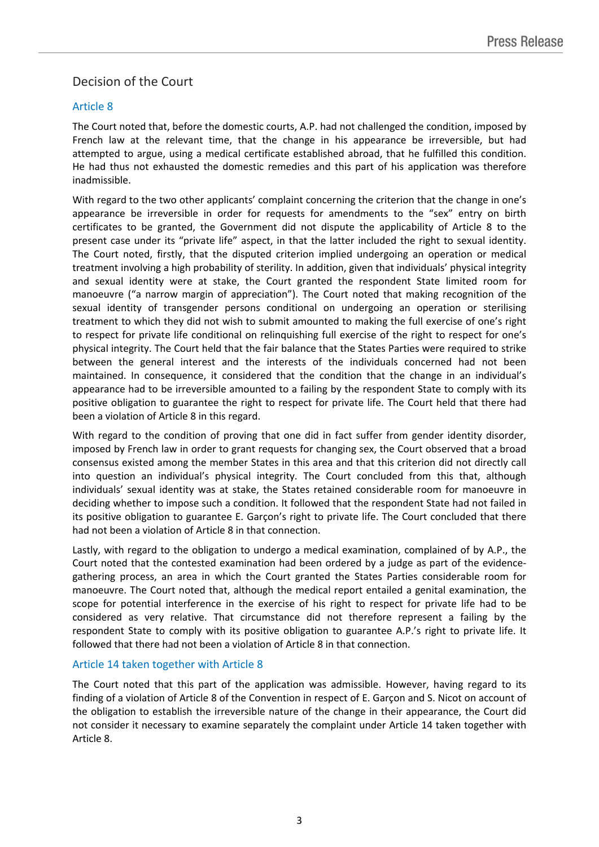## Decision of the Court

### Article 8

The Court noted that, before the domestic courts, A.P. had not challenged the condition, imposed by French law at the relevant time, that the change in his appearance be irreversible, but had attempted to argue, using a medical certificate established abroad, that he fulfilled this condition. He had thus not exhausted the domestic remedies and this part of his application was therefore inadmissible.

With regard to the two other applicants' complaint concerning the criterion that the change in one's appearance be irreversible in order for requests for amendments to the "sex" entry on birth certificates to be granted, the Government did not dispute the applicability of Article 8 to the present case under its "private life" aspect, in that the latter included the right to sexual identity. The Court noted, firstly, that the disputed criterion implied undergoing an operation or medical treatment involving a high probability of sterility. In addition, given that individuals' physical integrity and sexual identity were at stake, the Court granted the respondent State limited room for manoeuvre ("a narrow margin of appreciation"). The Court noted that making recognition of the sexual identity of transgender persons conditional on undergoing an operation or sterilising treatment to which they did not wish to submit amounted to making the full exercise of one's right to respect for private life conditional on relinquishing full exercise of the right to respect for one's physical integrity. The Court held that the fair balance that the States Parties were required to strike between the general interest and the interests of the individuals concerned had not been maintained. In consequence, it considered that the condition that the change in an individual's appearance had to be irreversible amounted to a failing by the respondent State to comply with its positive obligation to guarantee the right to respect for private life. The Court held that there had been a violation of Article 8 in this regard.

With regard to the condition of proving that one did in fact suffer from gender identity disorder, imposed by French law in order to grant requests for changing sex, the Court observed that a broad consensus existed among the member States in this area and that this criterion did not directly call into question an individual's physical integrity. The Court concluded from this that, although individuals' sexual identity was at stake, the States retained considerable room for manoeuvre in deciding whether to impose such a condition. It followed that the respondent State had not failed in its positive obligation to guarantee E. Garçon's right to private life. The Court concluded that there had not been a violation of Article 8 in that connection.

Lastly, with regard to the obligation to undergo a medical examination, complained of by A.P., the Court noted that the contested examination had been ordered by a judge as part of the evidencegathering process, an area in which the Court granted the States Parties considerable room for manoeuvre. The Court noted that, although the medical report entailed a genital examination, the scope for potential interference in the exercise of his right to respect for private life had to be considered as very relative. That circumstance did not therefore represent a failing by the respondent State to comply with its positive obligation to guarantee A.P.'s right to private life. It followed that there had not been a violation of Article 8 in that connection.

#### Article 14 taken together with Article 8

The Court noted that this part of the application was admissible. However, having regard to its finding of a violation of Article 8 of the Convention in respect of E. Garçon and S. Nicot on account of the obligation to establish the irreversible nature of the change in their appearance, the Court did not consider it necessary to examine separately the complaint under Article 14 taken together with Article 8.